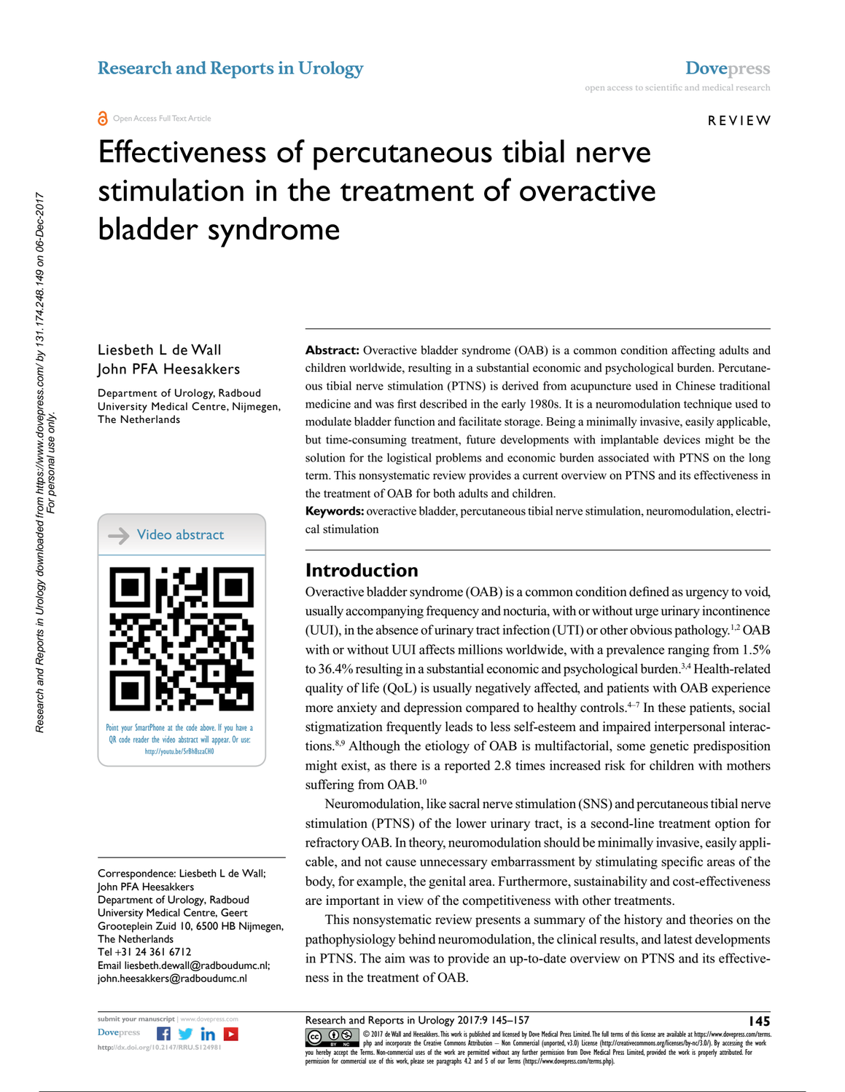**a** Open Access Full Text Article

#### REVIEW

# Effectiveness of percutaneous tibial nerve stimulation in the treatment of overactive bladder syndrome

This article was published in the following Dove Press journal: Research and Reports in Urology 14 August 2017 Number of times this article has been viewed

Liesbeth L de Wall John PFA Heesakkers

Department of Urology, Radboud University Medical Centre, Nijmegen, The Netherlands



QR code reader the video abstract will appear. Or use: http://youtu.be/5rBh8szaCH0

Correspondence: Liesbeth L de Wall; John PFA Heesakkers Department of Urology, Radboud University Medical Centre, Geert Grooteplein Zuid 10, 6500 HB Nijmegen, The Netherlands Tel +31 24 361 6712 Email liesbeth.dewall@radboudumc.nl; john.heesakkers@radboudumc.nl



**Abstract:** Overactive bladder syndrome (OAB) is a common condition affecting adults and children worldwide, resulting in a substantial economic and psychological burden. Percutaneous tibial nerve stimulation (PTNS) is derived from acupuncture used in Chinese traditional medicine and was first described in the early 1980s. It is a neuromodulation technique used to modulate bladder function and facilitate storage. Being a minimally invasive, easily applicable, but time-consuming treatment, future developments with implantable devices might be the solution for the logistical problems and economic burden associated with PTNS on the long term. This nonsystematic review provides a current overview on PTNS and its effectiveness in the treatment of OAB for both adults and children.

**Keywords:** overactive bladder, percutaneous tibial nerve stimulation, neuromodulation, electrical stimulation

# **Introduction**

Overactive bladder syndrome (OAB) is a common condition defined as urgency to void, usually accompanying frequency and nocturia, with or without urge urinary incontinence (UUI), in the absence of urinary tract infection (UTI) or other obvious pathology.1,2 OAB with or without UUI affects millions worldwide, with a prevalence ranging from 1.5% to 36.4% resulting in a substantial economic and psychological burden.3,4 Health-related quality of life (QoL) is usually negatively affected, and patients with OAB experience more anxiety and depression compared to healthy controls.4–7 In these patients, social stigmatization frequently leads to less self-esteem and impaired interpersonal interactions.8,9 Although the etiology of OAB is multifactorial, some genetic predisposition might exist, as there is a reported 2.8 times increased risk for children with mothers suffering from OAB.<sup>10</sup>

Neuromodulation, like sacral nerve stimulation (SNS) and percutaneous tibial nerve stimulation (PTNS) of the lower urinary tract, is a second-line treatment option for refractory OAB. In theory, neuromodulation should be minimally invasive, easily applicable, and not cause unnecessary embarrassment by stimulating specific areas of the body, for example, the genital area. Furthermore, sustainability and cost-effectiveness are important in view of the competitiveness with other treatments.

This nonsystematic review presents a summary of the history and theories on the pathophysiology behind neuromodulation, the clinical results, and latest developments in PTNS. The aim was to provide an up-to-date overview on PTNS and its effectiveness in the treatment of OAB.

CC **3** © 2017 de Wall and Heesakkers. This work is published and licensed by Dove Medical Press Limited. The full terms of this license are available at https://www.dovepress.com/terms. www.com php and incorporate the Creative Commons Attribution — Non Commercial (unported, v3.0) License (http://creativecommons.org/licenses/by-nc/3.0/). By accessing the work<br>[you hereby accept the T](http://www.dovepress.com/permissions.php)erms. Non-commercial use  $m$ ission for commercial use of this work, please see paragraphs  $4.2$  and  $5$  of our Terms (https://www.dovepress.com/terms.php).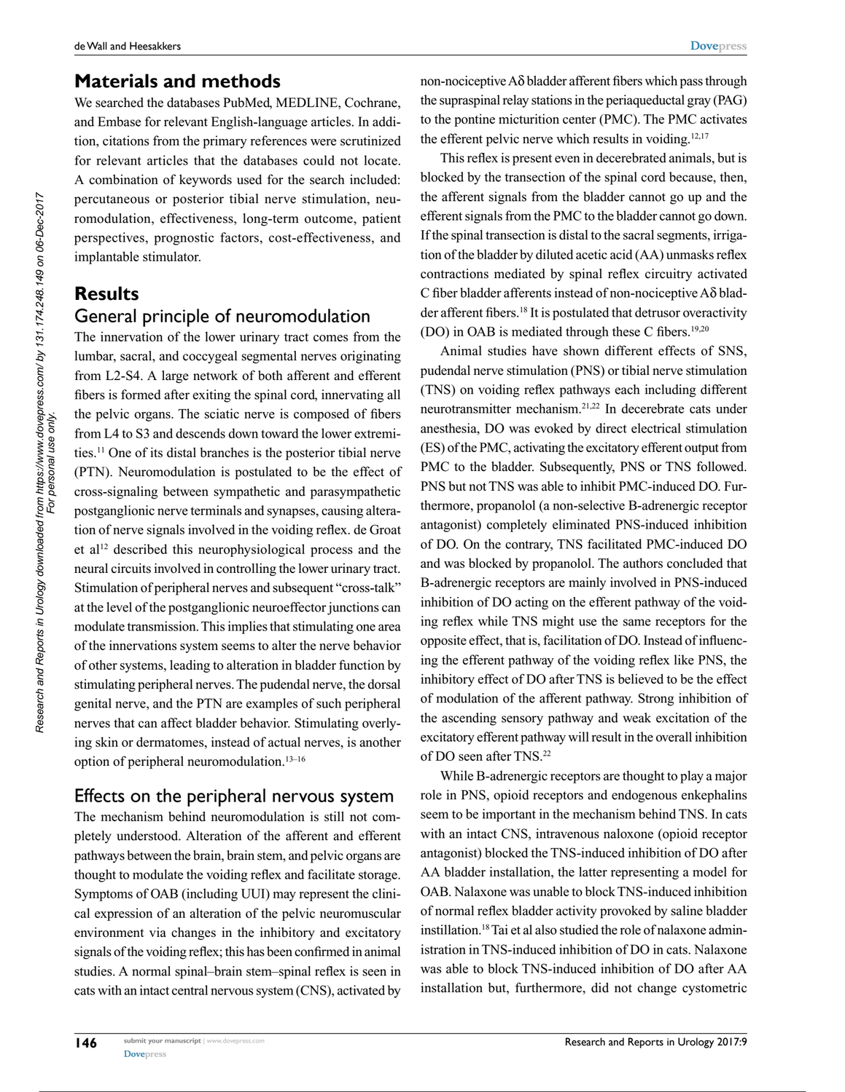# **Materials and methods**

We searched the databases PubMed, MEDLINE, Cochrane, and Embase for relevant English-language articles. In addition, citations from the primary references were scrutinized for relevant articles that the databases could not locate. A combination of keywords used for the search included: percutaneous or posterior tibial nerve stimulation, neuromodulation, effectiveness, long-term outcome, patient perspectives, prognostic factors, cost-effectiveness, and implantable stimulator.

# **Results**

# General principle of neuromodulation

The innervation of the lower urinary tract comes from the lumbar, sacral, and coccygeal segmental nerves originating from L2-S4. A large network of both afferent and efferent fibers is formed after exiting the spinal cord, innervating all the pelvic organs. The sciatic nerve is composed of fibers from L4 to S3 and descends down toward the lower extremities.11 One of its distal branches is the posterior tibial nerve (PTN). Neuromodulation is postulated to be the effect of cross-signaling between sympathetic and parasympathetic postganglionic nerve terminals and synapses, causing alteration of nerve signals involved in the voiding reflex. de Groat et al12 described this neurophysiological process and the neural circuits involved in controlling the lower urinary tract. Stimulation of peripheral nerves and subsequent "cross-talk" at the level of the postganglionic neuroeffector junctions can modulate transmission. This implies that stimulating one area of the innervations system seems to alter the nerve behavior of other systems, leading to alteration in bladder function by stimulating peripheral nerves. The pudendal nerve, the dorsal genital nerve, and the PTN are examples of such peripheral nerves that can affect bladder behavior. Stimulating overlying skin or dermatomes, instead of actual nerves, is another option of peripheral neuromodulation.13–16

# Effects on the peripheral nervous system

The mechanism behind neuromodulation is still not completely understood. Alteration of the afferent and efferent pathways between the brain, brain stem, and pelvic organs are thought to modulate the voiding reflex and facilitate storage. Symptoms of OAB (including UUI) may represent the clinical expression of an alteration of the pelvic neuromuscular environment via changes in the inhibitory and excitatory signals of the voiding reflex; this has been confirmed in animal studies. A normal spinal–brain stem–spinal reflex is seen in cats with an intact central nervous system (CNS), activated by **[Dovepress](www.dovepress.com)**

non-nociceptive  $A\delta$  bladder afferent fibers which pass through the supraspinal relay stations in the periaqueductal gray (PAG) to the pontine micturition center (PMC). The PMC activates the efferent pelvic nerve which results in voiding. $12,17$ 

This reflex is present even in decerebrated animals, but is blocked by the transection of the spinal cord because, then, the afferent signals from the bladder cannot go up and the efferent signals from the PMC to the bladder cannot go down. If the spinal transection is distal to the sacral segments, irrigation of the bladder by diluted acetic acid (AA) unmasks reflex contractions mediated by spinal reflex circuitry activated C fiber bladder afferents instead of non-nociceptive Aδ bladder afferent fibers.18 It is postulated that detrusor overactivity (DO) in OAB is mediated through these C fibers.<sup>19,20</sup>

Animal studies have shown different effects of SNS, pudendal nerve stimulation (PNS) or tibial nerve stimulation (TNS) on voiding reflex pathways each including different neurotransmitter mechanism.21,22 In decerebrate cats under anesthesia, DO was evoked by direct electrical stimulation (ES) of the PMC, activating the excitatory efferent output from PMC to the bladder. Subsequently, PNS or TNS followed. PNS but not TNS was able to inhibit PMC-induced DO. Furthermore, propanolol (a non-selective B-adrenergic receptor antagonist) completely eliminated PNS-induced inhibition of DO. On the contrary, TNS facilitated PMC-induced DO and was blocked by propanolol. The authors concluded that B-adrenergic receptors are mainly involved in PNS-induced inhibition of DO acting on the efferent pathway of the voiding reflex while TNS might use the same receptors for the opposite effect, that is, facilitation of DO. Instead of influencing the efferent pathway of the voiding reflex like PNS, the inhibitory effect of DO after TNS is believed to be the effect of modulation of the afferent pathway. Strong inhibition of the ascending sensory pathway and weak excitation of the excitatory efferent pathway will result in the overall inhibition of DO seen after TNS.22

While B-adrenergic receptors are thought to play a major role in PNS, opioid receptors and endogenous enkephalins seem to be important in the mechanism behind TNS. In cats with an intact CNS, intravenous naloxone (opioid receptor antagonist) blocked the TNS-induced inhibition of DO after AA bladder installation, the latter representing a model for OAB. Nalaxone was unable to block TNS-induced inhibition of normal reflex bladder activity provoked by saline bladder instillation.18 Tai et al also studied the role of nalaxone administration in TNS-induced inhibition of DO in cats. Nalaxone was able to block TNS-induced inhibition of DO after AA installation but, furthermore, did not change cystometric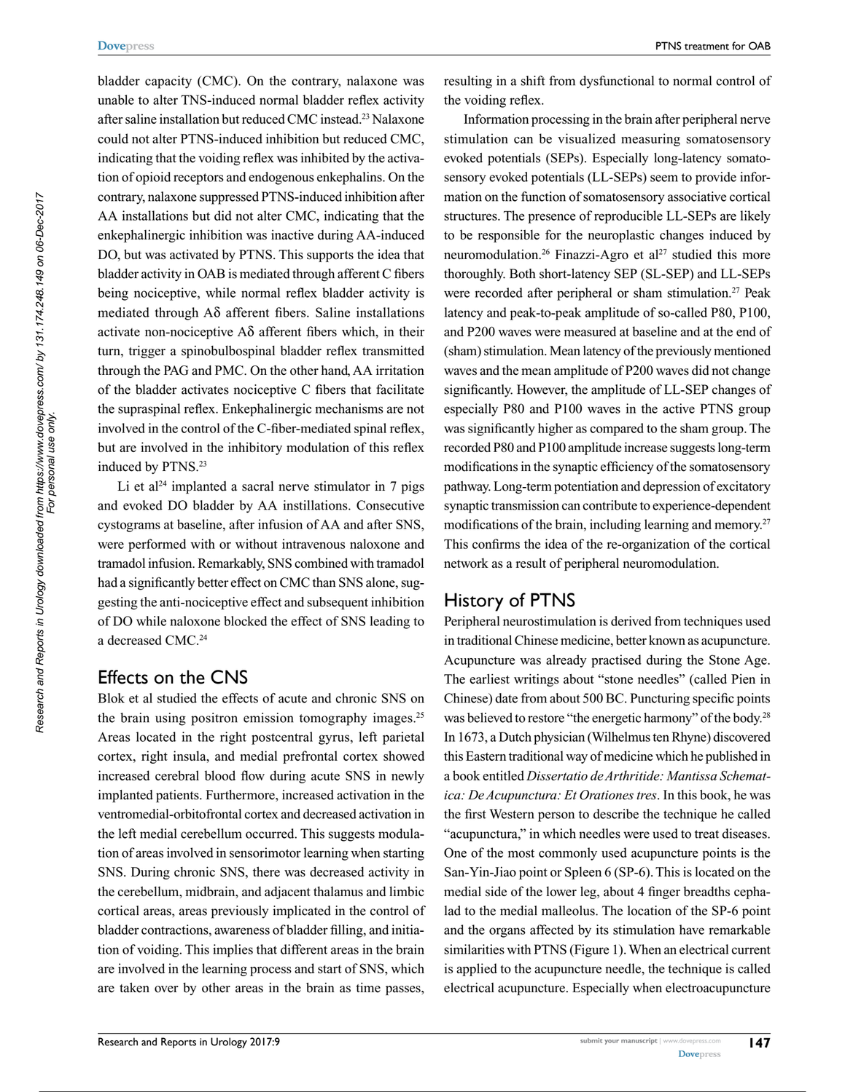bladder capacity (CMC). On the contrary, nalaxone was unable to alter TNS-induced normal bladder reflex activity after saline installation but reduced CMC instead.23 Nalaxone could not alter PTNS-induced inhibition but reduced CMC, indicating that the voiding reflex was inhibited by the activation of opioid receptors and endogenous enkephalins. On the contrary, nalaxone suppressed PTNS-induced inhibition after AA installations but did not alter CMC, indicating that the enkephalinergic inhibition was inactive during AA-induced DO, but was activated by PTNS. This supports the idea that bladder activity in OAB is mediated through afferent C fibers being nociceptive, while normal reflex bladder activity is mediated through  $A\delta$  afferent fibers. Saline installations activate non-nociceptive  $A\delta$  afferent fibers which, in their turn, trigger a spinobulbospinal bladder reflex transmitted through the PAG and PMC. On the other hand, AA irritation of the bladder activates nociceptive C fibers that facilitate the supraspinal reflex. Enkephalinergic mechanisms are not involved in the control of the C-fiber-mediated spinal reflex, but are involved in the inhibitory modulation of this reflex induced by PTNS.23

Li et al<sup>24</sup> implanted a sacral nerve stimulator in 7 pigs and evoked DO bladder by AA instillations. Consecutive cystograms at baseline, after infusion of AA and after SNS, were performed with or without intravenous naloxone and tramadol infusion. Remarkably, SNS combined with tramadol had a significantly better effect on CMC than SNS alone, suggesting the anti-nociceptive effect and subsequent inhibition of DO while naloxone blocked the effect of SNS leading to a decreased CMC.24

# Effects on the CNS

Blok et al studied the effects of acute and chronic SNS on the brain using positron emission tomography images.<sup>25</sup> Areas located in the right postcentral gyrus, left parietal cortex, right insula, and medial prefrontal cortex showed increased cerebral blood flow during acute SNS in newly implanted patients. Furthermore, increased activation in the ventromedial-orbitofrontal cortex and decreased activation in the left medial cerebellum occurred. This suggests modulation of areas involved in sensorimotor learning when starting SNS. During chronic SNS, there was decreased activity in the cerebellum, midbrain, and adjacent thalamus and limbic cortical areas, areas previously implicated in the control of bladder contractions, awareness of bladder filling, and initiation of voiding. This implies that different areas in the brain are involved in the learning process and start of SNS, which are taken over by other areas in the brain as time passes,

resulting in a shift from dysfunctional to normal control of the voiding reflex.

Information processing in the brain after peripheral nerve stimulation can be visualized measuring somatosensory evoked potentials (SEPs). Especially long-latency somatosensory evoked potentials (LL-SEPs) seem to provide information on the function of somatosensory associative cortical structures. The presence of reproducible LL-SEPs are likely to be responsible for the neuroplastic changes induced by neuromodulation.<sup>26</sup> Finazzi-Agro et al<sup>27</sup> studied this more thoroughly. Both short-latency SEP (SL-SEP) and LL-SEPs were recorded after peripheral or sham stimulation.<sup>27</sup> Peak latency and peak-to-peak amplitude of so-called P80, P100, and P200 waves were measured at baseline and at the end of (sham) stimulation. Mean latency of the previously mentioned waves and the mean amplitude of P200 waves did not change significantly. However, the amplitude of LL-SEP changes of especially P80 and P100 waves in the active PTNS group was significantly higher as compared to the sham group. The recorded P80 and P100 amplitude increase suggests long-term modifications in the synaptic efficiency of the somatosensory pathway. Long-term potentiation and depression of excitatory synaptic transmission can contribute to experience-dependent modifications of the brain, including learning and memory.<sup>27</sup> This confirms the idea of the re-organization of the cortical network as a result of peripheral neuromodulation.

# History of PTNS

Peripheral neurostimulation is derived from techniques used in traditional Chinese medicine, better known as acupuncture. Acupuncture was already practised during the Stone Age. The earliest writings about "stone needles" (called Pien in Chinese) date from about 500 BC. Puncturing specific points was believed to restore "the energetic harmony" of the body.<sup>28</sup> In 1673, a Dutch physician (Wilhelmus ten Rhyne) discovered this Eastern traditional way of medicine which he published in a book entitled *Dissertatio de Arthritide: Mantissa Schematica: De Acupunctura: Et Orationes tres*. In this book, he was the first Western person to describe the technique he called "acupunctura," in which needles were used to treat diseases. One of the most commonly used acupuncture points is the San-Yin-Jiao point or Spleen 6 (SP-6). This is located on the medial side of the lower leg, about 4 finger breadths cephalad to the medial malleolus. The location of the SP-6 point and the organs affected by its stimulation have remarkable similarities with PTNS (Figure 1). When an electrical current is applied to the acupuncture needle, the technique is called electrical acupuncture. Especially when electroacupuncture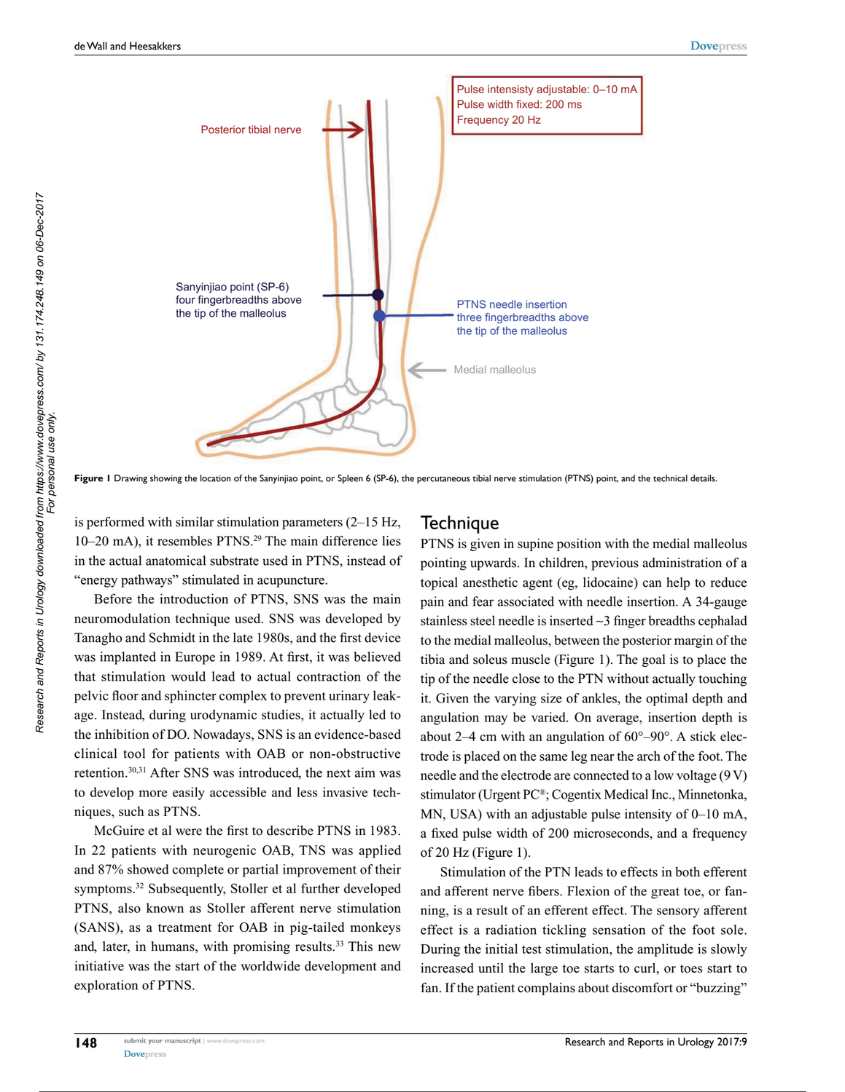

**Figure 1** Drawing showing the location of the Sanyinjiao point, or Spleen 6 (SP-6), the percutaneous tibial nerve stimulation (PTNS) point, and the technical details.

is performed with similar stimulation parameters (2–15 Hz, 10–20 mA), it resembles PTNS.29 The main difference lies in the actual anatomical substrate used in PTNS, instead of "energy pathways" stimulated in acupuncture.

Before the introduction of PTNS, SNS was the main neuromodulation technique used. SNS was developed by Tanagho and Schmidt in the late 1980s, and the first device was implanted in Europe in 1989. At first, it was believed that stimulation would lead to actual contraction of the pelvic floor and sphincter complex to prevent urinary leakage. Instead, during urodynamic studies, it actually led to the inhibition of DO. Nowadays, SNS is an evidence-based clinical tool for patients with OAB or non-obstructive retention.30,31 After SNS was introduced, the next aim was to develop more easily accessible and less invasive techniques, such as PTNS.

McGuire et al were the first to describe PTNS in 1983. In 22 patients with neurogenic OAB, TNS was applied and 87% showed complete or partial improvement of their symptoms.32 Subsequently, Stoller et al further developed PTNS, also known as Stoller afferent nerve stimulation (SANS), as a treatment for OAB in pig-tailed monkeys and, later, in humans, with promising results.<sup>33</sup> This new initiative was the start of the worldwide development and exploration of PTNS.

#### **Technique**

PTNS is given in supine position with the medial malleolus pointing upwards. In children, previous administration of a topical anesthetic agent (eg, lidocaine) can help to reduce pain and fear associated with needle insertion. A 34-gauge stainless steel needle is inserted ~3 finger breadths cephalad to the medial malleolus, between the posterior margin of the tibia and soleus muscle (Figure 1). The goal is to place the tip of the needle close to the PTN without actually touching it. Given the varying size of ankles, the optimal depth and angulation may be varied. On average, insertion depth is about 2–4 cm with an angulation of 60°–90°. A stick electrode is placed on the same leg near the arch of the foot. The needle and the electrode are connected to a low voltage (9 V) stimulator (Urgent PC®; Cogentix Medical Inc., Minnetonka, MN, USA) with an adjustable pulse intensity of 0–10 mA, a fixed pulse width of 200 microseconds, and a frequency of 20 Hz (Figure 1).

Stimulation of the PTN leads to effects in both efferent and afferent nerve fibers. Flexion of the great toe, or fanning, is a result of an efferent effect. The sensory afferent effect is a radiation tickling sensation of the foot sole. During the initial test stimulation, the amplitude is slowly increased until the large toe starts to curl, or toes start to fan. If the patient complains about discomfort or "buzzing"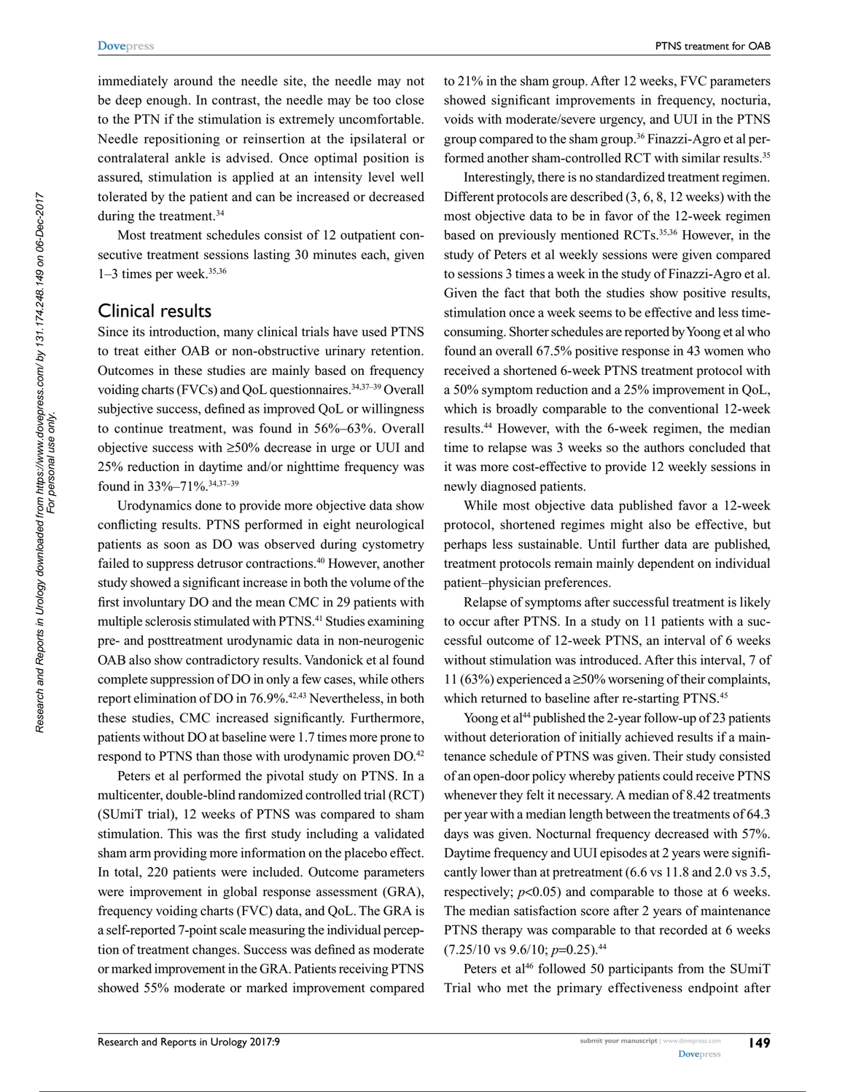immediately around the needle site, the needle may not be deep enough. In contrast, the needle may be too close to the PTN if the stimulation is extremely uncomfortable. Needle repositioning or reinsertion at the ipsilateral or contralateral ankle is advised. Once optimal position is assured, stimulation is applied at an intensity level well tolerated by the patient and can be increased or decreased during the treatment.<sup>34</sup>

Most treatment schedules consist of 12 outpatient consecutive treatment sessions lasting 30 minutes each, given  $1-3$  times per week.<sup>35,36</sup>

## Clinical results

Since its introduction, many clinical trials have used PTNS to treat either OAB or non-obstructive urinary retention. Outcomes in these studies are mainly based on frequency voiding charts (FVCs) and QoL questionnaires.<sup>34,37–39</sup> Overall subjective success, defined as improved QoL or willingness to continue treatment, was found in 56%–63%. Overall objective success with ≥50% decrease in urge or UUI and 25% reduction in daytime and/or nighttime frequency was found in 33%–71%.34,37–39

Urodynamics done to provide more objective data show conflicting results. PTNS performed in eight neurological patients as soon as DO was observed during cystometry failed to suppress detrusor contractions.<sup>40</sup> However, another study showed a significant increase in both the volume of the first involuntary DO and the mean CMC in 29 patients with multiple sclerosis stimulated with PTNS.<sup>41</sup> Studies examining pre- and posttreatment urodynamic data in non-neurogenic OAB also show contradictory results. Vandonick et al found complete suppression of DO in only a few cases, while others report elimination of DO in 76.9%.<sup>42,43</sup> Nevertheless, in both these studies, CMC increased significantly. Furthermore, patients without DO at baseline were 1.7 times more prone to respond to PTNS than those with urodynamic proven DO.<sup>42</sup>

Peters et al performed the pivotal study on PTNS. In a multicenter, double-blind randomized controlled trial (RCT) (SUmiT trial), 12 weeks of PTNS was compared to sham stimulation. This was the first study including a validated sham arm providing more information on the placebo effect. In total, 220 patients were included. Outcome parameters were improvement in global response assessment (GRA), frequency voiding charts (FVC) data, and QoL. The GRA is a self-reported 7-point scale measuring the individual perception of treatment changes. Success was defined as moderate or marked improvement in the GRA. Patients receiving PTNS showed 55% moderate or marked improvement compared

to 21% in the sham group. After 12 weeks, FVC parameters showed significant improvements in frequency, nocturia, voids with moderate/severe urgency, and UUI in the PTNS group compared to the sham group.<sup>36</sup> Finazzi-Agro et al performed another sham-controlled RCT with similar results.<sup>35</sup>

Interestingly, there is no standardized treatment regimen. Different protocols are described (3, 6, 8, 12 weeks) with the most objective data to be in favor of the 12-week regimen based on previously mentioned RCTs.<sup>35,36</sup> However, in the study of Peters et al weekly sessions were given compared to sessions 3 times a week in the study of Finazzi-Agro et al. Given the fact that both the studies show positive results, stimulation once a week seems to be effective and less timeconsuming. Shorter schedules are reported by Yoong et al who found an overall 67.5% positive response in 43 women who received a shortened 6-week PTNS treatment protocol with a 50% symptom reduction and a 25% improvement in QoL, which is broadly comparable to the conventional 12-week results.44 However, with the 6-week regimen, the median time to relapse was 3 weeks so the authors concluded that it was more cost-effective to provide 12 weekly sessions in newly diagnosed patients.

While most objective data published favor a 12-week protocol, shortened regimes might also be effective, but perhaps less sustainable. Until further data are published, treatment protocols remain mainly dependent on individual patient–physician preferences.

Relapse of symptoms after successful treatment is likely to occur after PTNS. In a study on 11 patients with a successful outcome of 12-week PTNS, an interval of 6 weeks without stimulation was introduced. After this interval, 7 of 11 (63%) experienced a  $\geq$ 50% worsening of their complaints, which returned to baseline after re-starting PTNS.<sup>45</sup>

Yoong et al<sup>44</sup> published the 2-year follow-up of 23 patients without deterioration of initially achieved results if a maintenance schedule of PTNS was given. Their study consisted of an open-door policy whereby patients could receive PTNS whenever they felt it necessary. A median of 8.42 treatments per year with a median length between the treatments of 64.3 days was given. Nocturnal frequency decreased with 57%. Daytime frequency and UUI episodes at 2 years were significantly lower than at pretreatment (6.6 vs 11.8 and 2.0 vs 3.5, respectively;  $p<0.05$ ) and comparable to those at 6 weeks. The median satisfaction score after 2 years of maintenance PTNS therapy was comparable to that recorded at 6 weeks (7.25/10 vs 9.6/10; *p*=0.25).44

Peters et al<sup>46</sup> followed 50 participants from the SUmiT Trial who met the primary effectiveness endpoint after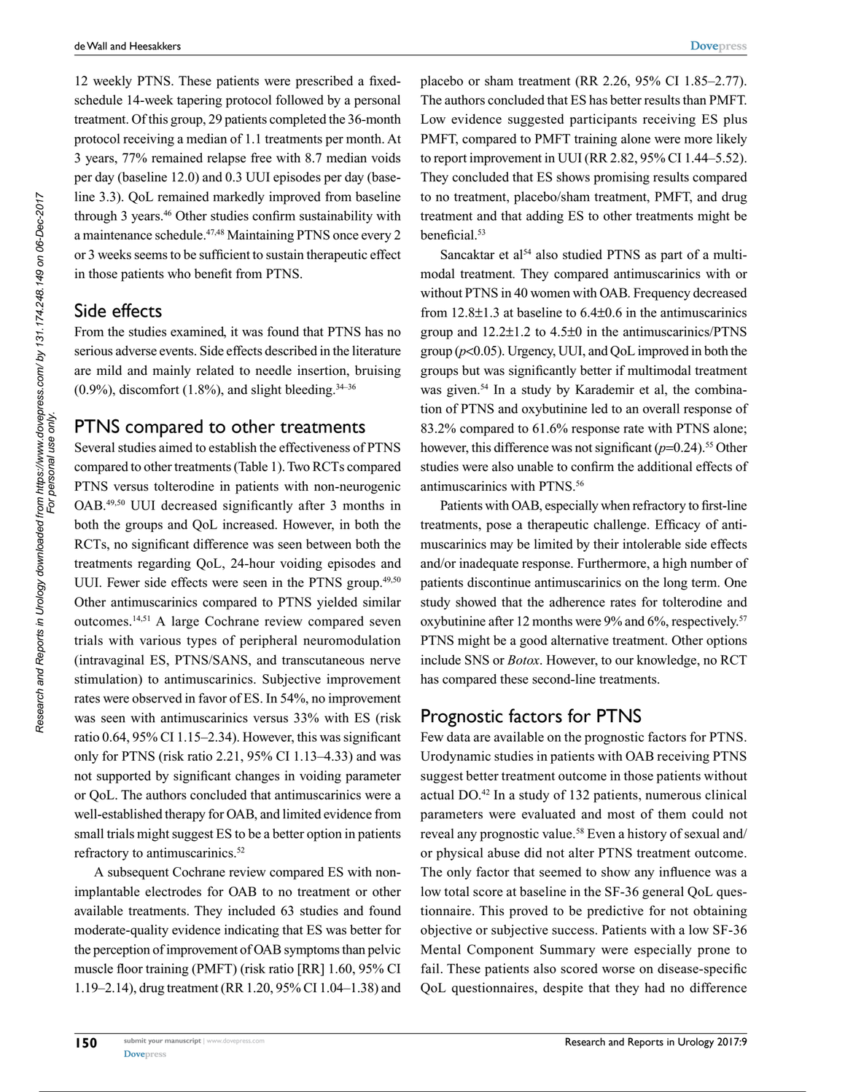12 weekly PTNS. These patients were prescribed a fixedschedule 14-week tapering protocol followed by a personal treatment. Of this group, 29 patients completed the 36-month protocol receiving a median of 1.1 treatments per month. At 3 years, 77% remained relapse free with 8.7 median voids per day (baseline 12.0) and 0.3 UUI episodes per day (baseline 3.3). QoL remained markedly improved from baseline through 3 years.<sup>46</sup> Other studies confirm sustainability with a maintenance schedule.47,48 Maintaining PTNS once every 2 or 3 weeks seems to be sufficient to sustain therapeutic effect in those patients who benefit from PTNS.

## Side effects

From the studies examined, it was found that PTNS has no serious adverse events. Side effects described in the literature are mild and mainly related to needle insertion, bruising  $(0.9\%)$ , discomfort  $(1.8\%)$ , and slight bleeding.<sup>34-36</sup>

#### PTNS compared to other treatments

Several studies aimed to establish the effectiveness of PTNS compared to other treatments (Table 1). Two RCTs compared PTNS versus tolterodine in patients with non-neurogenic OAB.49,50 UUI decreased significantly after 3 months in both the groups and QoL increased. However, in both the RCTs, no significant difference was seen between both the treatments regarding QoL, 24-hour voiding episodes and UUI. Fewer side effects were seen in the PTNS group.<sup>49,50</sup> Other antimuscarinics compared to PTNS yielded similar outcomes.14,51 A large Cochrane review compared seven trials with various types of peripheral neuromodulation (intravaginal ES, PTNS/SANS, and transcutaneous nerve stimulation) to antimuscarinics. Subjective improvement rates were observed in favor of ES. In 54%, no improvement was seen with antimuscarinics versus 33% with ES (risk ratio 0.64, 95% CI 1.15–2.34). However, this was significant only for PTNS (risk ratio 2.21, 95% CI 1.13–4.33) and was not supported by significant changes in voiding parameter or QoL. The authors concluded that antimuscarinics were a well-established therapy for OAB, and limited evidence from small trials might suggest ES to be a better option in patients refractory to antimuscarinics.<sup>52</sup>

A subsequent Cochrane review compared ES with nonimplantable electrodes for OAB to no treatment or other available treatments. They included 63 studies and found moderate-quality evidence indicating that ES was better for the perception of improvement of OAB symptoms than pelvic muscle floor training (PMFT) (risk ratio [RR] 1.60, 95% CI 1.19–2.14), drug treatment (RR 1.20, 95% CI 1.04–1.38) and placebo or sham treatment (RR 2.26, 95% CI 1.85–2.77). The authors concluded that ES has better results than PMFT. Low evidence suggested participants receiving ES plus PMFT, compared to PMFT training alone were more likely to report improvement in UUI (RR 2.82, 95% CI 1.44–5.52). They concluded that ES shows promising results compared to no treatment, placebo/sham treatment, PMFT, and drug treatment and that adding ES to other treatments might be beneficial.<sup>53</sup>

Sancaktar et al<sup>54</sup> also studied PTNS as part of a multimodal treatment*.* They compared antimuscarinics with or without PTNS in 40 women with OAB. Frequency decreased from 12.8±1.3 at baseline to 6.4±0.6 in the antimuscarinics group and 12.2±1.2 to 4.5±0 in the antimuscarinics/PTNS group (*p*<0.05). Urgency, UUI, and QoL improved in both the groups but was significantly better if multimodal treatment was given.<sup>54</sup> In a study by Karademir et al, the combination of PTNS and oxybutinine led to an overall response of 83.2% compared to 61.6% response rate with PTNS alone; however, this difference was not significant  $(p=0.24)$ .<sup>55</sup> Other studies were also unable to confirm the additional effects of antimuscarinics with PTNS.56

Patients with OAB, especially when refractory to first-line treatments, pose a therapeutic challenge. Efficacy of antimuscarinics may be limited by their intolerable side effects and/or inadequate response. Furthermore, a high number of patients discontinue antimuscarinics on the long term. One study showed that the adherence rates for tolterodine and oxybutinine after 12 months were 9% and 6%, respectively.<sup>57</sup> PTNS might be a good alternative treatment. Other options include SNS or *Botox*. However, to our knowledge, no RCT has compared these second-line treatments.

# Prognostic factors for PTNS

Few data are available on the prognostic factors for PTNS. Urodynamic studies in patients with OAB receiving PTNS suggest better treatment outcome in those patients without actual DO.42 In a study of 132 patients, numerous clinical parameters were evaluated and most of them could not reveal any prognostic value.<sup>58</sup> Even a history of sexual and/ or physical abuse did not alter PTNS treatment outcome. The only factor that seemed to show any influence was a low total score at baseline in the SF-36 general QoL questionnaire. This proved to be predictive for not obtaining objective or subjective success. Patients with a low SF-36 Mental Component Summary were especially prone to fail. These patients also scored worse on disease-specific QoL questionnaires, despite that they had no difference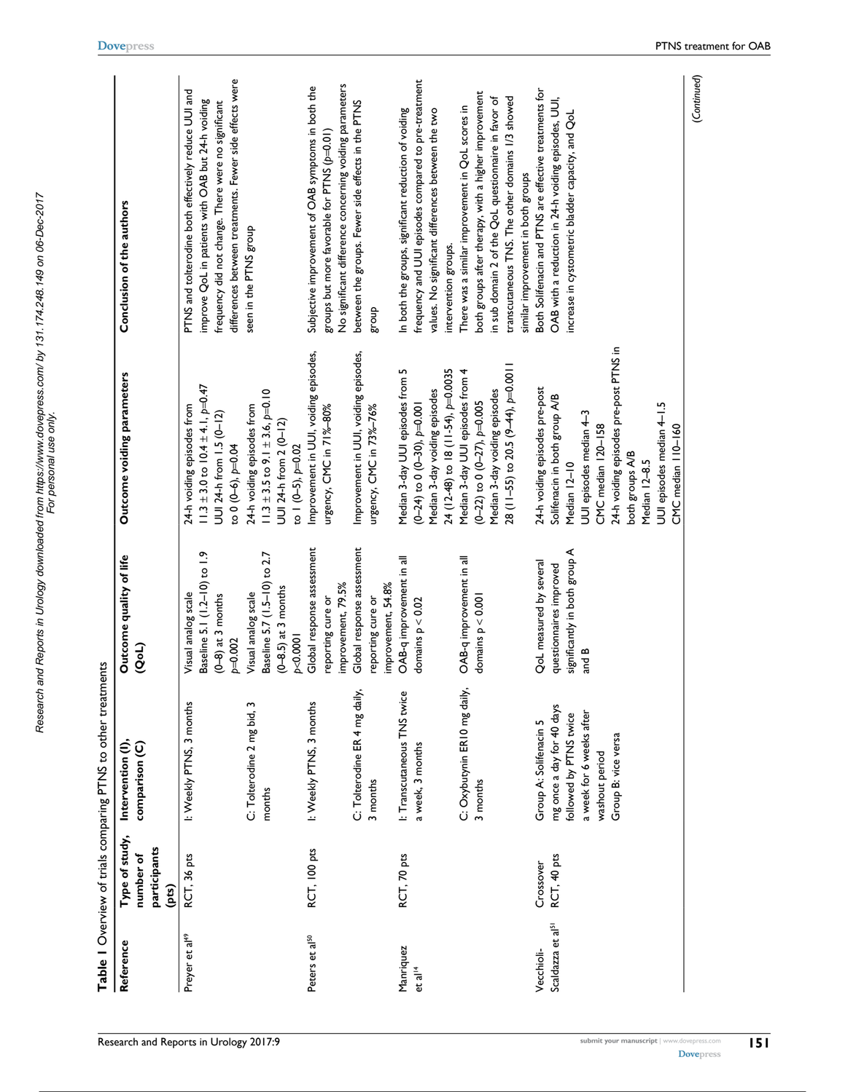|                                             |                                                      | Table I Overview of trials comparing PTNS to other treatments                                                                                      |                                                                                                                                                                                     |                                                                                                                                                                                                                                                                                                   |                                                                                                                                                                                                                                                                                                                                                                                                                                                          |
|---------------------------------------------|------------------------------------------------------|----------------------------------------------------------------------------------------------------------------------------------------------------|-------------------------------------------------------------------------------------------------------------------------------------------------------------------------------------|---------------------------------------------------------------------------------------------------------------------------------------------------------------------------------------------------------------------------------------------------------------------------------------------------|----------------------------------------------------------------------------------------------------------------------------------------------------------------------------------------------------------------------------------------------------------------------------------------------------------------------------------------------------------------------------------------------------------------------------------------------------------|
| Reference                                   | Type of study,<br>participants<br>number of<br>(pts) | Intervention (I),<br>comparison (C)                                                                                                                | Outcome quality of life<br>(QoL)                                                                                                                                                    | Outcome voiding parameters                                                                                                                                                                                                                                                                        | Conclusion of the authors                                                                                                                                                                                                                                                                                                                                                                                                                                |
| Preyer et al <sup>49</sup>                  | RCT, 36 pts                                          | I: Weekly PTNS, 3 months<br>C: Tolterodine 2 mg bid, 3<br>months                                                                                   | Baseline 5.1 (1.2-10) to 1.9<br>Baseline 5.7 (1.5-10) to 2.7<br>$(0-8.5)$ at 3 months<br>Visual analog scale<br>Visual analog scale<br>$(0-8)$ at 3 months<br>p<0.0001<br>$p=0.002$ | $11.3 \pm 3.0$ to $10.4 \pm 4.1$ , $p=0.47$<br>$11.3 \pm 3.5$ to 9.1 $\pm$ 3.6, p=0.10<br>24-h voiding episodes from<br>24-h voiding episodes from<br>UUI 24-h from 1.5 (0-12)<br>UUI 24-h from 2 (0-12)<br>to 0 (0-6), p=0.04<br>$1(0-5)$ , $p=0.02$                                             | differences between treatments. Fewer side effects were<br>PTNS and tolterodine both effectively reduce UUI and<br>improve QoL in patients with OAB but 24-h voiding<br>frequency did not change. There were no significant<br>seen in the PTNS group                                                                                                                                                                                                    |
| Peters et al <sup>50</sup>                  | RCT, 100 pts                                         | C: Tolterodine ER 4 mg daily,<br>I: Weekly PTNS, 3 months<br>3 months                                                                              | Global response assessment<br>Global response assessment<br>improvement, 79.5%<br>improvement, 54.8%<br>reporting cure or<br>reporting cure or                                      | Improvement in UUI, voiding episodes,<br>Improvement in UUI, voiding episodes,<br>urgency, CMC in 71%-80%<br>urgency, CMC in 73%-76%                                                                                                                                                              | No significant difference concerning voiding parameters<br>Subjective improvement of OAB symptoms in both the<br>between the groups. Fewer side effects in the PTNS<br>groups but more favorable for PTNS ( $p=0.01$ )<br>group                                                                                                                                                                                                                          |
| Manriquez<br>et al <sup>14</sup>            | RCT, 70 pts                                          | C: Oxybutynin ERIO mg daily,<br>I: Transcutaneous TNS twice<br>a week, 3 months<br>3 months                                                        | OAB-q improvement in all<br>OAB-q improvement in all<br>domains $p < 0.001$<br>domains $p < 0.02$                                                                                   | 28 (11–55) to 20.5 (9–44), $p=0.0011$<br>Median 3-day UUI episodes from 5<br>24 (12-48) to 18 (11-54), p=0.0035<br>Median 3-day UUI episodes from 4<br>Median 3-day voiding episodes<br>Median 3-day voiding episodes<br>$(0-22)$ to 0 $(0-27)$ , $p=0.005$<br>$(0-24)$ to 0 $(0-30)$ , $p=0.001$ | frequency and UUI episodes compared to pre-treatment<br>both groups after therapy, with a higher improvement<br>transcutaneous TNS. The other domains 1/3 showed<br>in sub domain 2 of the QoL questionnaire in favor of<br>There was a similar improvement in QoL scores in<br>In both the groups, significant reduction of voiding<br>values. No significant differences between the two<br>similar improvement in both groups<br>intervention groups. |
| Scaldazza et al <sup>51</sup><br>Vecchioli- | RCT, 40 pts<br>Crossover                             | mg once a day for 40 days<br>a week for 6 weeks after<br>followed by PTNS twice<br>Group A: Solifenacin 5<br>Group B: vice versa<br>washout period | significantly in both group A<br>QoL measured by several<br>questionnaires improved<br>and B                                                                                        | 24-h voiding episodes pre-post PTNS in<br>24-h voiding episodes pre-post<br>Solifenacin in both group A/B<br>UUI episodes median 4-1.5<br>JUI episodes median 4-3<br>CMC median 120-158<br>CMC median 110-160<br>both groups A/B<br>Median 12-8.5<br>Median 12-10                                 | Both Solifenacin and PTNS are effective treatments for<br>OAB with a reduction in 24-h voiding episodes, UUI,<br>increase in cystometric bladder capacity, and QoL                                                                                                                                                                                                                                                                                       |
|                                             |                                                      |                                                                                                                                                    |                                                                                                                                                                                     |                                                                                                                                                                                                                                                                                                   | (Continued)                                                                                                                                                                                                                                                                                                                                                                                                                                              |

Research and Reports in Urology downloaded from https://www.dovepress.com/ by 131.174.248.149 on 06-Dec-2017<br>For personal use only. Research and Reports in Urology downloaded from https://www.dovepress.com/ by 131.174.248.149 on 06-Dec-2017 For personal use only.

**151**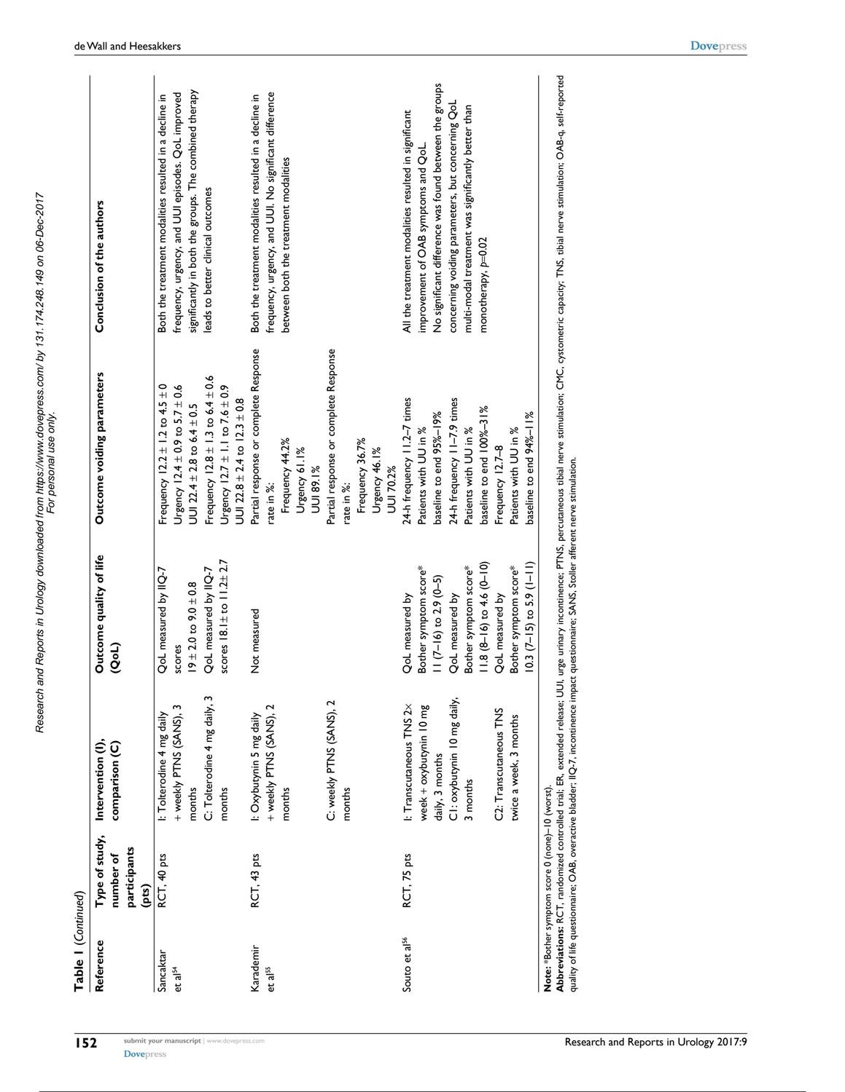| Table I (Continued)              |                                                               |                                                                                                                                                                       |                                                                                                                                                                                                                           |                                                                                                                                                                                                                                                           |                                                                                                                                                                                                                                                                                           |
|----------------------------------|---------------------------------------------------------------|-----------------------------------------------------------------------------------------------------------------------------------------------------------------------|---------------------------------------------------------------------------------------------------------------------------------------------------------------------------------------------------------------------------|-----------------------------------------------------------------------------------------------------------------------------------------------------------------------------------------------------------------------------------------------------------|-------------------------------------------------------------------------------------------------------------------------------------------------------------------------------------------------------------------------------------------------------------------------------------------|
| Reference                        | Type of study,<br>participants<br>number of<br>$(\text{pts})$ | Intervention (I),<br>comparison (C)                                                                                                                                   | Outcome quality of life<br>(QoL)                                                                                                                                                                                          | Outcome voiding parameters                                                                                                                                                                                                                                | Conclusion of the authors                                                                                                                                                                                                                                                                 |
| Sancaktar<br>et al <sup>54</sup> | RCT, 40 pts                                                   | C: Tolterodine 4 mg daily, 3<br>+ weekly PTNS (SANS), 3<br>: Tolterodine 4 mg daily<br>months<br>months                                                               | scores $18.1 \pm$ to $11.2 \pm 2.7$<br>QoL measured by IIQ-7<br>QoL measured by IIQ-7<br>$19 \pm 2.0$ to $9.0 \pm 0.8$<br>scores                                                                                          | Frequency $12.8 \pm 1.3$ to $6.4 \pm 0.6$<br>Frequency $12.2 \pm 1.2$ to $4.5 \pm 0$<br>Urgency $12.4 \pm 0.9$ to $5.7 \pm 0.6$<br>Urgency $12.7 \pm 1.1$ to $7.6 \pm 0.9$<br>UUI 22.8 $\pm$ 2.4 to 12.3 $\pm$ 0.8<br>UUI 22.4 $\pm$ 2.8 to 6.4 $\pm$ 0.5 | significantly in both the groups. The combined therapy<br>frequency, urgency, and UUI episodes. QoL improved<br>Both the treatment modalities resulted in a decline in<br>eads to better clinical outcomes                                                                                |
| Karademir<br>et al <sup>55</sup> | RCT, 43 pts                                                   | C: weekly PTNS (SANS), 2<br>+ weekly PTNS (SANS), 2<br>I: Oxybutynin 5 mg daily<br>months<br>months                                                                   | Not measured                                                                                                                                                                                                              | Partial response or complete Response<br>Partial response or complete Response<br>Frequency 44.2%<br>Frequency 36.7%<br><b>Urgency 46.1%</b><br>Urgency 61.1%<br>UUI 70.2%<br>UUI 89.1%<br>rate in %:<br>rate in %:                                       | frequency, urgency, and UUI. No significant difference<br>Both the treatment modalities resulted in a decline in<br>between both the treatment modalities                                                                                                                                 |
| Souto et al <sup>56</sup>        | RCT, 75 pts                                                   | Cl: oxybutynin 10 mg daily,<br>l: Transcutaneous TNS 2x<br>week + oxybutynin 10 mg<br>C2: Transcutaneous TNS<br>twice a week, 3 months<br>daily, 3 months<br>3 months | $(1 - 15)$ to 5.9 $(1 - 1)$<br>$11.8$ (8-16) to 4.6 (0-10)<br>Bother symptom score*<br>Bother symptom score*<br>Bother symptom score*<br>$11(7-16)$ to 2.9 (0-5)<br>QoL measured by<br>QoL measured by<br>QoL measured by | 24-h frequency 11.2-7 times<br>24-h frequency 11-7.9 times<br>baseline to end 100%-31%<br>baseline to end 95%-19%<br>baseline to end 94%-11%<br>Patients with UU in %<br>Patients with UU in %<br>Patients with UU in %<br>Frequency 12.7-8               | No significant difference was found between the groups<br>concerning voiding parameters, but concerning QoL<br>multi-modal treatment was significantly better than<br>All the treatment modalities resulted in significant<br>improvement of OAB symptoms and QoL.<br>monotherapy, p=0.02 |
|                                  | Note: *Bother symptom score 0 (none)-10 (worst).              | quality of life questionnaire; OAB, overactive bladder; IIQ-7, incontinence impact questionnaire; SANS, Stoller afferent nerve stimulation.                           |                                                                                                                                                                                                                           |                                                                                                                                                                                                                                                           | Abbreviations: RCT, randomized controlled trial; ER, extended release; UUI, urge urinary incontinence; PTNS, percutaneous tibial nerve stimulation; CMC, cystometric capacity; TNS, tibial nerve stimulation; OAB-q, self-repo                                                            |

Research and Reports in Urology downloaded from https://www.dovepress.com/ by 131.174.248.149 on 06-Dec-2017 For personal use only.

Research and Reports in Urology downloaded from https://www.dovepress.com/ by 131.174.248.149 on 06-Dec-2017<br>For personal use only.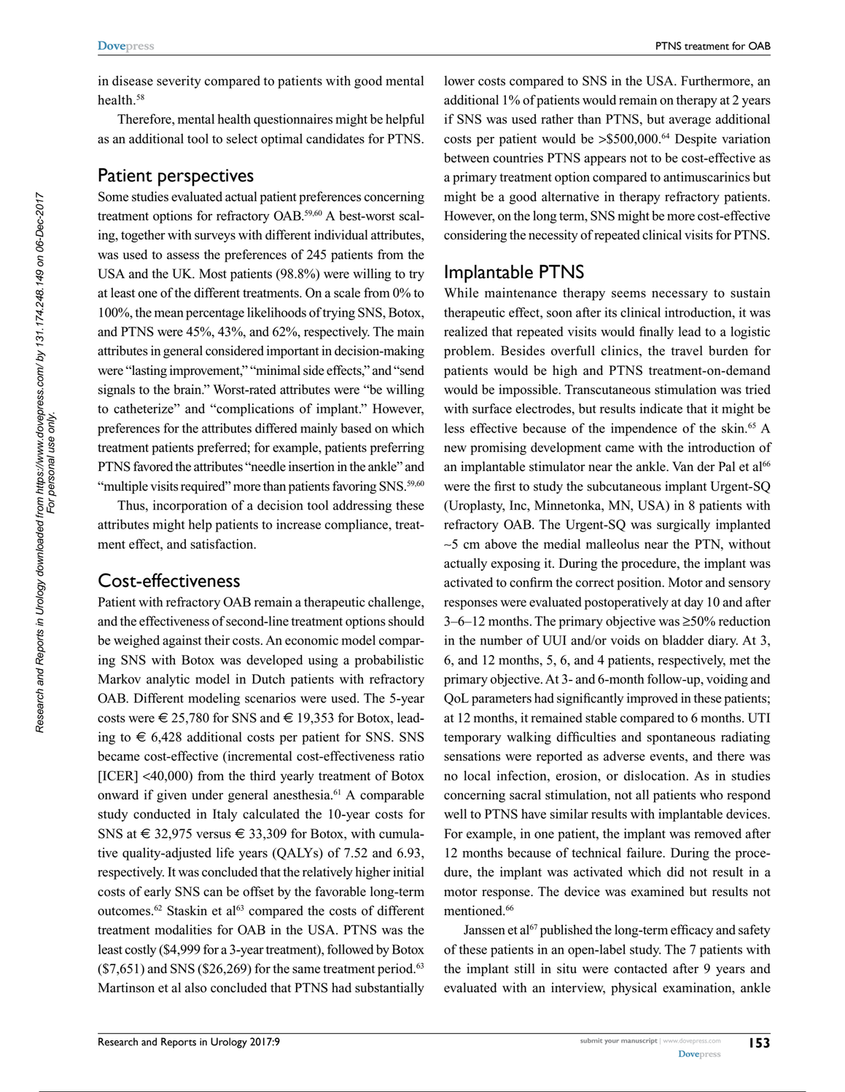in disease severity compared to patients with good mental health.<sup>58</sup>

Therefore, mental health questionnaires might be helpful as an additional tool to select optimal candidates for PTNS.

#### Patient perspectives

Some studies evaluated actual patient preferences concerning treatment options for refractory OAB.59,60 A best-worst scaling, together with surveys with different individual attributes, was used to assess the preferences of 245 patients from the USA and the UK. Most patients (98.8%) were willing to try at least one of the different treatments. On a scale from 0% to 100%, the mean percentage likelihoods of trying SNS, Botox, and PTNS were 45%, 43%, and 62%, respectively. The main attributes in general considered important in decision-making were "lasting improvement," "minimal side effects," and "send signals to the brain." Worst-rated attributes were "be willing to catheterize" and "complications of implant." However, preferences for the attributes differed mainly based on which treatment patients preferred; for example, patients preferring PTNS favored the attributes "needle insertion in the ankle" and "multiple visits required" more than patients favoring SNS.<sup>59,60</sup>

Thus, incorporation of a decision tool addressing these attributes might help patients to increase compliance, treatment effect, and satisfaction.

## Cost-effectiveness

Patient with refractory OAB remain a therapeutic challenge, and the effectiveness of second-line treatment options should be weighed against their costs. An economic model comparing SNS with Botox was developed using a probabilistic Markov analytic model in Dutch patients with refractory OAB. Different modeling scenarios were used. The 5-year costs were  $\in$  25,780 for SNS and  $\in$  19,353 for Botox, leading to  $\epsilon$  6,428 additional costs per patient for SNS. SNS became cost-effective (incremental cost-effectiveness ratio [ICER] <40,000) from the third yearly treatment of Botox onward if given under general anesthesia.<sup>61</sup> A comparable study conducted in Italy calculated the 10-year costs for SNS at  $\in$  32,975 versus  $\in$  33,309 for Botox, with cumulative quality-adjusted life years (QALYs) of 7.52 and 6.93, respectively. It was concluded that the relatively higher initial costs of early SNS can be offset by the favorable long-term outcomes.<sup>62</sup> Staskin et al<sup>63</sup> compared the costs of different treatment modalities for OAB in the USA. PTNS was the least costly (\$4,999 for a 3-year treatment), followed by Botox  $(\$7,651)$  and SNS  $(\$26,269)$  for the same treatment period.<sup>63</sup> Martinson et al also concluded that PTNS had substantially

lower costs compared to SNS in the USA. Furthermore, an additional 1% of patients would remain on therapy at 2 years if SNS was used rather than PTNS, but average additional costs per patient would be  $> $500,000.^{64}$  Despite variation between countries PTNS appears not to be cost-effective as a primary treatment option compared to antimuscarinics but might be a good alternative in therapy refractory patients. However, on the long term, SNS might be more cost-effective considering the necessity of repeated clinical visits for PTNS.

# Implantable PTNS

While maintenance therapy seems necessary to sustain therapeutic effect, soon after its clinical introduction, it was realized that repeated visits would finally lead to a logistic problem. Besides overfull clinics, the travel burden for patients would be high and PTNS treatment-on-demand would be impossible. Transcutaneous stimulation was tried with surface electrodes, but results indicate that it might be less effective because of the impendence of the skin.<sup>65</sup> A new promising development came with the introduction of an implantable stimulator near the ankle. Van der Pal et al<sup>66</sup> were the first to study the subcutaneous implant Urgent-SQ (Uroplasty, Inc, Minnetonka, MN, USA) in 8 patients with refractory OAB. The Urgent-SQ was surgically implanted ~5 cm above the medial malleolus near the PTN, without actually exposing it. During the procedure, the implant was activated to confirm the correct position. Motor and sensory responses were evaluated postoperatively at day 10 and after 3–6–12 months. The primary objective was ≥50% reduction in the number of UUI and/or voids on bladder diary. At 3, 6, and 12 months, 5, 6, and 4 patients, respectively, met the primary objective. At 3- and 6-month follow-up, voiding and QoL parameters had significantly improved in these patients; at 12 months, it remained stable compared to 6 months. UTI temporary walking difficulties and spontaneous radiating sensations were reported as adverse events, and there was no local infection, erosion, or dislocation. As in studies concerning sacral stimulation, not all patients who respond well to PTNS have similar results with implantable devices. For example, in one patient, the implant was removed after 12 months because of technical failure. During the procedure, the implant was activated which did not result in a motor response. The device was examined but results not mentioned.<sup>66</sup>

Janssen et al<sup>67</sup> published the long-term efficacy and safety of these patients in an open-label study. The 7 patients with the implant still in situ were contacted after 9 years and evaluated with an interview, physical examination, ankle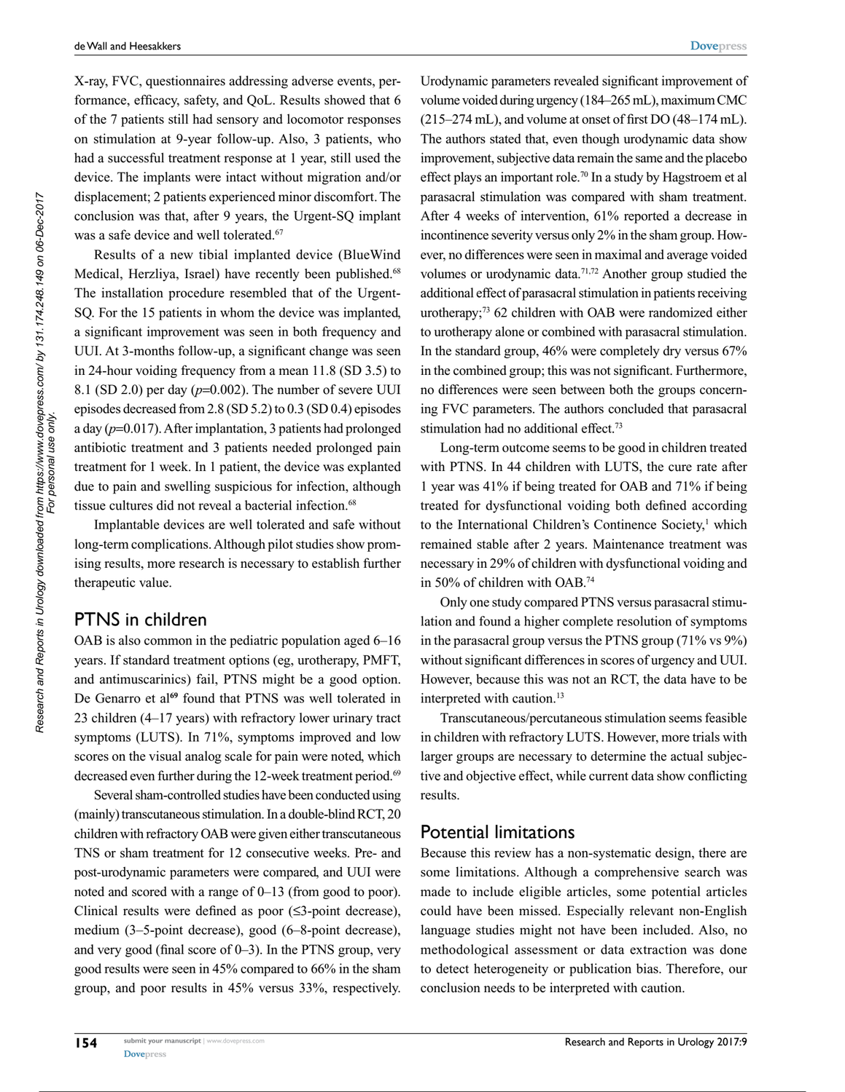**[Dovepress](www.dovepress.com)**

X-ray, FVC, questionnaires addressing adverse events, performance, efficacy, safety, and QoL. Results showed that 6 of the 7 patients still had sensory and locomotor responses on stimulation at 9-year follow-up. Also, 3 patients, who had a successful treatment response at 1 year, still used the device. The implants were intact without migration and/or displacement; 2 patients experienced minor discomfort. The conclusion was that, after 9 years, the Urgent-SQ implant was a safe device and well tolerated.<sup>67</sup>

Results of a new tibial implanted device (BlueWind Medical, Herzliya, Israel) have recently been published.<sup>68</sup> The installation procedure resembled that of the Urgent-SQ. For the 15 patients in whom the device was implanted, a significant improvement was seen in both frequency and UUI. At 3-months follow-up, a significant change was seen in 24-hour voiding frequency from a mean 11.8 (SD 3.5) to 8.1 (SD 2.0) per day (*p*=0.002). The number of severe UUI episodes decreased from 2.8 (SD 5.2) to 0.3 (SD 0.4) episodes a day (*p*=0.017). After implantation, 3 patients had prolonged antibiotic treatment and 3 patients needed prolonged pain treatment for 1 week. In 1 patient, the device was explanted due to pain and swelling suspicious for infection, although tissue cultures did not reveal a bacterial infection.<sup>68</sup>

Implantable devices are well tolerated and safe without long-term complications. Although pilot studies show promising results, more research is necessary to establish further therapeutic value.

# PTNS in children

OAB is also common in the pediatric population aged 6–16 years. If standard treatment options (eg, urotherapy, PMFT, and antimuscarinics) fail, PTNS might be a good option. De Genarro et al<sup>69</sup> found that PTNS was well tolerated in 23 children (4–17 years) with refractory lower urinary tract symptoms (LUTS). In 71%, symptoms improved and low scores on the visual analog scale for pain were noted, which decreased even further during the 12-week treatment period.<sup>69</sup>

Several sham-controlled studies have been conducted using (mainly) transcutaneous stimulation. In a double-blind RCT, 20 children with refractory OAB were given either transcutaneous TNS or sham treatment for 12 consecutive weeks. Pre- and post-urodynamic parameters were compared, and UUI were noted and scored with a range of 0–13 (from good to poor). Clinical results were defined as poor (≤3-point decrease), medium (3–5-point decrease), good (6–8-point decrease), and very good (final score of  $0-3$ ). In the PTNS group, very good results were seen in 45% compared to 66% in the sham group, and poor results in 45% versus 33%, respectively.

Urodynamic parameters revealed significant improvement of volume voided during urgency (184–265 mL), maximum CMC (215–274 mL), and volume at onset of first DO (48–174 mL). The authors stated that, even though urodynamic data show improvement, subjective data remain the same and the placebo effect plays an important role.<sup>70</sup> In a study by Hagstroem et al parasacral stimulation was compared with sham treatment. After 4 weeks of intervention, 61% reported a decrease in incontinence severity versus only 2% in the sham group. However, no differences were seen in maximal and average voided volumes or urodynamic data.<sup>71,72</sup> Another group studied the additional effect of parasacral stimulation in patients receiving urotherapy;73 62 children with OAB were randomized either to urotherapy alone or combined with parasacral stimulation. In the standard group, 46% were completely dry versus 67% in the combined group; this was not significant. Furthermore, no differences were seen between both the groups concerning FVC parameters. The authors concluded that parasacral stimulation had no additional effect.<sup>73</sup>

Long-term outcome seems to be good in children treated with PTNS. In 44 children with LUTS, the cure rate after 1 year was 41% if being treated for OAB and 71% if being treated for dysfunctional voiding both defined according to the International Children's Continence Society,<sup>1</sup> which remained stable after 2 years. Maintenance treatment was necessary in 29% of children with dysfunctional voiding and in 50% of children with OAB.74

Only one study compared PTNS versus parasacral stimulation and found a higher complete resolution of symptoms in the parasacral group versus the PTNS group (71% vs 9%) without significant differences in scores of urgency and UUI. However, because this was not an RCT, the data have to be interpreted with caution.<sup>13</sup>

Transcutaneous/percutaneous stimulation seems feasible in children with refractory LUTS. However, more trials with larger groups are necessary to determine the actual subjective and objective effect, while current data show conflicting results.

# Potential limitations

Because this review has a non-systematic design, there are some limitations. Although a comprehensive search was made to include eligible articles, some potential articles could have been missed. Especially relevant non-English language studies might not have been included. Also, no methodological assessment or data extraction was done to detect heterogeneity or publication bias. Therefore, our conclusion needs to be interpreted with caution.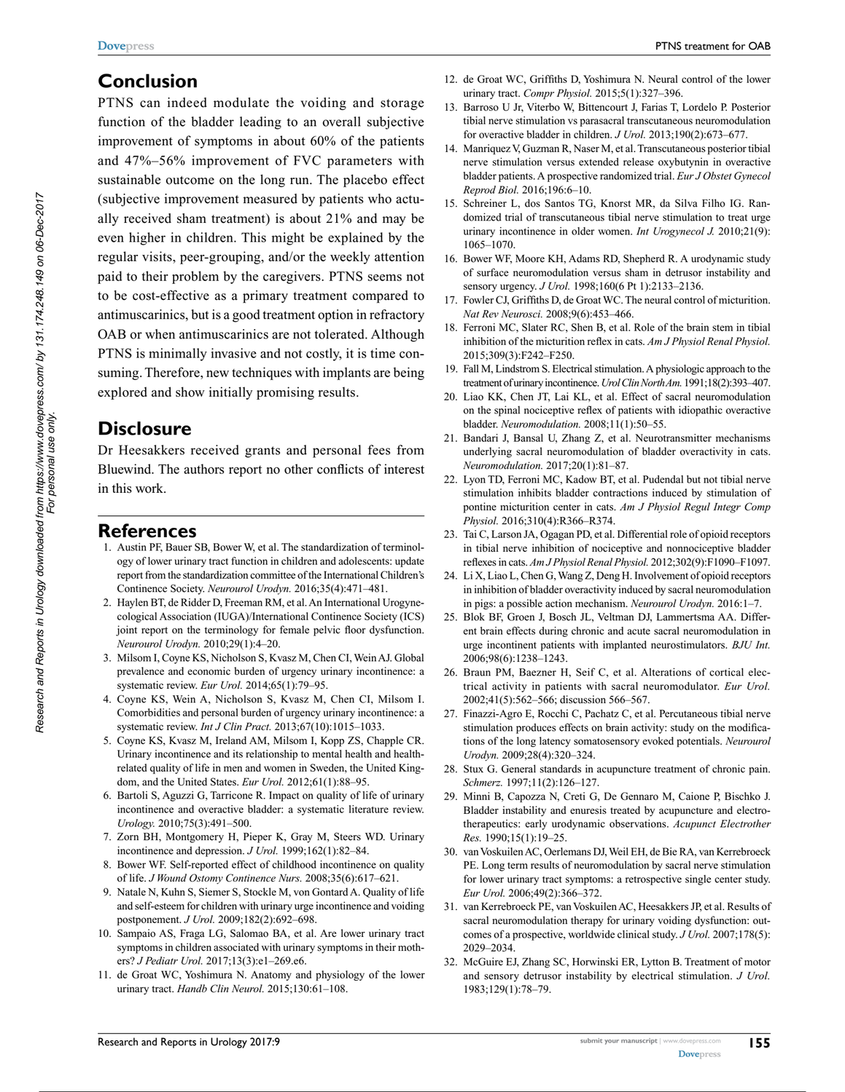# **Conclusion**

PTNS can indeed modulate the voiding and storage function of the bladder leading to an overall subjective improvement of symptoms in about 60% of the patients and 47%–56% improvement of FVC parameters with sustainable outcome on the long run. The placebo effect (subjective improvement measured by patients who actually received sham treatment) is about 21% and may be even higher in children. This might be explained by the regular visits, peer-grouping, and/or the weekly attention paid to their problem by the caregivers. PTNS seems not to be cost-effective as a primary treatment compared to antimuscarinics, but is a good treatment option in refractory OAB or when antimuscarinics are not tolerated. Although PTNS is minimally invasive and not costly, it is time consuming. Therefore, new techniques with implants are being explored and show initially promising results.

# **Disclosure**

Dr Heesakkers received grants and personal fees from Bluewind. The authors report no other conflicts of interest in this work.

# **References**

- 1. Austin PF, Bauer SB, Bower W, et al. The standardization of terminology of lower urinary tract function in children and adolescents: update report from the standardization committee of the International Children's Continence Society. *Neurourol Urodyn.* 2016;35(4):471–481.
- 2. Haylen BT, de Ridder D, Freeman RM, et al. An International Urogynecological Association (IUGA)/International Continence Society (ICS) joint report on the terminology for female pelvic floor dysfunction. *Neurourol Urodyn.* 2010;29(1):4–20.
- 3. Milsom I, Coyne KS, Nicholson S, Kvasz M, Chen CI, Wein AJ. Global prevalence and economic burden of urgency urinary incontinence: a systematic review. *Eur Urol.* 2014;65(1):79–95.
- 4. Coyne KS, Wein A, Nicholson S, Kvasz M, Chen CI, Milsom I. Comorbidities and personal burden of urgency urinary incontinence: a systematic review. *Int J Clin Pract.* 2013;67(10):1015–1033.
- 5. Coyne KS, Kvasz M, Ireland AM, Milsom I, Kopp ZS, Chapple CR. Urinary incontinence and its relationship to mental health and healthrelated quality of life in men and women in Sweden, the United Kingdom, and the United States. *Eur Urol.* 2012;61(1):88–95.
- 6. Bartoli S, Aguzzi G, Tarricone R. Impact on quality of life of urinary incontinence and overactive bladder: a systematic literature review. *Urology.* 2010;75(3):491–500.
- 7. Zorn BH, Montgomery H, Pieper K, Gray M, Steers WD. Urinary incontinence and depression. *J Urol.* 1999;162(1):82–84.
- 8. Bower WF. Self-reported effect of childhood incontinence on quality of life. *J Wound Ostomy Continence Nurs.* 2008;35(6):617–621.
- 9. Natale N, Kuhn S, Siemer S, Stockle M, von Gontard A. Quality of life and self-esteem for children with urinary urge incontinence and voiding postponement. *J Urol.* 2009;182(2):692–698.
- 10. Sampaio AS, Fraga LG, Salomao BA, et al. Are lower urinary tract symptoms in children associated with urinary symptoms in their mothers? *J Pediatr Urol.* 2017;13(3):e1–269.e6.
- 11. de Groat WC, Yoshimura N. Anatomy and physiology of the lower urinary tract. *Handb Clin Neurol.* 2015;130:61–108.
- 12. de Groat WC, Griffiths D, Yoshimura N. Neural control of the lower urinary tract. *Compr Physiol.* 2015;5(1):327–396.
- 13. Barroso U Jr, Viterbo W, Bittencourt J, Farias T, Lordelo P. Posterior tibial nerve stimulation vs parasacral transcutaneous neuromodulation for overactive bladder in children. *J Urol.* 2013;190(2):673–677.
- 14. Manriquez V, Guzman R, Naser M, et al. Transcutaneous posterior tibial nerve stimulation versus extended release oxybutynin in overactive bladder patients. A prospective randomized trial. *Eur J Obstet Gynecol Reprod Biol.* 2016;196:6–10.
- 15. Schreiner L, dos Santos TG, Knorst MR, da Silva Filho IG. Randomized trial of transcutaneous tibial nerve stimulation to treat urge urinary incontinence in older women. *Int Urogynecol J.* 2010;21(9): 1065–1070.
- 16. Bower WF, Moore KH, Adams RD, Shepherd R. A urodynamic study of surface neuromodulation versus sham in detrusor instability and sensory urgency. *J Urol.* 1998;160(6 Pt 1):2133–2136.
- 17. Fowler CJ, Griffiths D, de Groat WC. The neural control of micturition. *Nat Rev Neurosci.* 2008;9(6):453–466.
- 18. Ferroni MC, Slater RC, Shen B, et al. Role of the brain stem in tibial inhibition of the micturition reflex in cats. *Am J Physiol Renal Physiol.*  2015;309(3):F242–F250.
- 19. Fall M, Lindstrom S. Electrical stimulation. A physiologic approach to the treatment of urinary incontinence. *Urol Clin North Am.* 1991;18(2):393–407.
- 20. Liao KK, Chen JT, Lai KL, et al. Effect of sacral neuromodulation on the spinal nociceptive reflex of patients with idiopathic overactive bladder. *Neuromodulation.* 2008;11(1):50–55.
- 21. Bandari J, Bansal U, Zhang Z, et al. Neurotransmitter mechanisms underlying sacral neuromodulation of bladder overactivity in cats. *Neuromodulation.* 2017;20(1):81–87.
- 22. Lyon TD, Ferroni MC, Kadow BT, et al. Pudendal but not tibial nerve stimulation inhibits bladder contractions induced by stimulation of pontine micturition center in cats. *Am J Physiol Regul Integr Comp Physiol.* 2016;310(4):R366–R374.
- 23. Tai C, Larson JA, Ogagan PD, et al. Differential role of opioid receptors in tibial nerve inhibition of nociceptive and nonnociceptive bladder reflexes in cats. *Am J Physiol Renal Physiol.* 2012;302(9):F1090–F1097.
- 24. Li X, Liao L, Chen G, Wang Z, Deng H. Involvement of opioid receptors in inhibition of bladder overactivity induced by sacral neuromodulation in pigs: a possible action mechanism. *Neurourol Urodyn.* 2016:1–7.
- 25. Blok BF, Groen J, Bosch JL, Veltman DJ, Lammertsma AA. Different brain effects during chronic and acute sacral neuromodulation in urge incontinent patients with implanted neurostimulators. *BJU Int.*  2006;98(6):1238–1243.
- 26. Braun PM, Baezner H, Seif C, et al. Alterations of cortical electrical activity in patients with sacral neuromodulator. *Eur Urol.*  2002;41(5):562–566; discussion 566–567.
- 27. Finazzi-Agro E, Rocchi C, Pachatz C, et al. Percutaneous tibial nerve stimulation produces effects on brain activity: study on the modifications of the long latency somatosensory evoked potentials. *Neurourol Urodyn.* 2009;28(4):320–324.
- 28. Stux G. General standards in acupuncture treatment of chronic pain. *Schmerz.* 1997;11(2):126–127.
- 29. Minni B, Capozza N, Creti G, De Gennaro M, Caione P, Bischko J. Bladder instability and enuresis treated by acupuncture and electrotherapeutics: early urodynamic observations. *Acupunct Electrother Res.* 1990;15(1):19–25.
- 30. van Voskuilen AC, Oerlemans DJ, Weil EH, de Bie RA, van Kerrebroeck PE. Long term results of neuromodulation by sacral nerve stimulation for lower urinary tract symptoms: a retrospective single center study. *Eur Urol.* 2006;49(2):366–372.
- 31. van Kerrebroeck PE, van Voskuilen AC, Heesakkers JP, et al. Results of sacral neuromodulation therapy for urinary voiding dysfunction: outcomes of a prospective, worldwide clinical study. *J Urol.* 2007;178(5): 2029–2034.
- 32. McGuire EJ, Zhang SC, Horwinski ER, Lytton B. Treatment of motor and sensory detrusor instability by electrical stimulation. *J Urol.*  1983;129(1):78–79.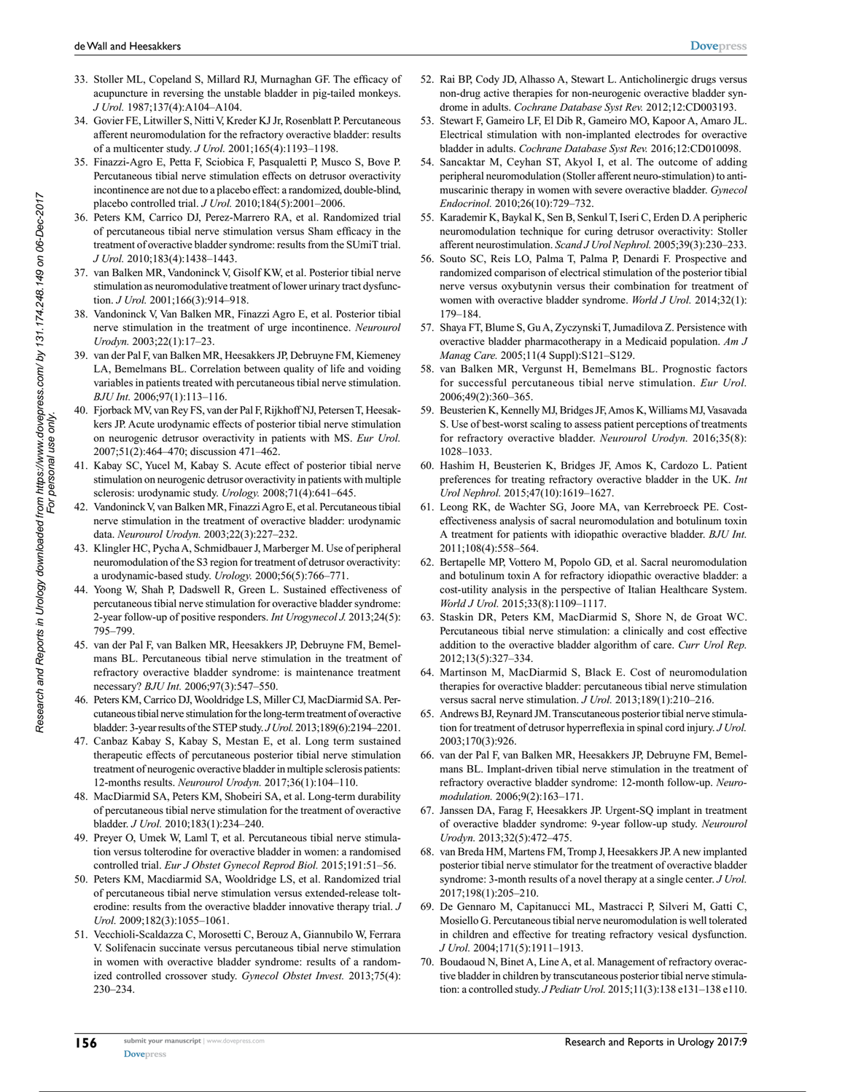- 33. Stoller ML, Copeland S, Millard RJ, Murnaghan GF. The efficacy of acupuncture in reversing the unstable bladder in pig-tailed monkeys. *J Urol.* 1987;137(4):A104–A104.
- 34. Govier FE, Litwiller S, Nitti V, Kreder KJ Jr, Rosenblatt P. Percutaneous afferent neuromodulation for the refractory overactive bladder: results of a multicenter study. *J Urol.* 2001;165(4):1193–1198.
- 35. Finazzi-Agro E, Petta F, Sciobica F, Pasqualetti P, Musco S, Bove P. Percutaneous tibial nerve stimulation effects on detrusor overactivity incontinence are not due to a placebo effect: a randomized, double-blind, placebo controlled trial. *J Urol.* 2010;184(5):2001–2006.
- 36. Peters KM, Carrico DJ, Perez-Marrero RA, et al. Randomized trial of percutaneous tibial nerve stimulation versus Sham efficacy in the treatment of overactive bladder syndrome: results from the SUmiT trial. *J Urol.* 2010;183(4):1438–1443.
- 37. van Balken MR, Vandoninck V, Gisolf KW, et al. Posterior tibial nerve stimulation as neuromodulative treatment of lower urinary tract dysfunction. *J Urol.* 2001;166(3):914–918.
- 38. Vandoninck V, Van Balken MR, Finazzi Agro E, et al. Posterior tibial nerve stimulation in the treatment of urge incontinence. *Neurourol Urodyn.* 2003;22(1):17–23.
- 39. van der Pal F, van Balken MR, Heesakkers JP, Debruyne FM, Kiemeney LA, Bemelmans BL. Correlation between quality of life and voiding variables in patients treated with percutaneous tibial nerve stimulation. *BJU Int.* 2006;97(1):113–116.
- 40. Fjorback MV, van Rey FS, van der Pal F, Rijkhoff NJ, Petersen T, Heesakkers JP. Acute urodynamic effects of posterior tibial nerve stimulation on neurogenic detrusor overactivity in patients with MS. *Eur Urol.*  2007;51(2):464–470; discussion 471–462.
- 41. Kabay SC, Yucel M, Kabay S. Acute effect of posterior tibial nerve stimulation on neurogenic detrusor overactivity in patients with multiple sclerosis: urodynamic study. *Urology.* 2008;71(4):641–645.
- 42. Vandoninck V, van Balken MR, Finazzi Agro E, et al. Percutaneous tibial nerve stimulation in the treatment of overactive bladder: urodynamic data. *Neurourol Urodyn.* 2003;22(3):227–232.
- 43. Klingler HC, Pycha A, Schmidbauer J, Marberger M. Use of peripheral neuromodulation of the S3 region for treatment of detrusor overactivity: a urodynamic-based study. *Urology.* 2000;56(5):766–771.
- 44. Yoong W, Shah P, Dadswell R, Green L. Sustained effectiveness of percutaneous tibial nerve stimulation for overactive bladder syndrome: 2-year follow-up of positive responders. *Int Urogynecol J.* 2013;24(5): 795–799.
- 45. van der Pal F, van Balken MR, Heesakkers JP, Debruyne FM, Bemelmans BL. Percutaneous tibial nerve stimulation in the treatment of refractory overactive bladder syndrome: is maintenance treatment necessary? *BJU Int.* 2006;97(3):547–550.
- 46. Peters KM, Carrico DJ, Wooldridge LS, Miller CJ, MacDiarmid SA. Percutaneous tibial nerve stimulation for the long-term treatment of overactive bladder: 3-year results of the STEP study. *J Urol.* 2013;189(6):2194–2201.
- 47. Canbaz Kabay S, Kabay S, Mestan E, et al. Long term sustained therapeutic effects of percutaneous posterior tibial nerve stimulation treatment of neurogenic overactive bladder in multiple sclerosis patients: 12-months results. *Neurourol Urodyn.* 2017;36(1):104–110.
- 48. MacDiarmid SA, Peters KM, Shobeiri SA, et al. Long-term durability of percutaneous tibial nerve stimulation for the treatment of overactive bladder. *J Urol.* 2010;183(1):234–240.
- 49. Preyer O, Umek W, Laml T, et al. Percutaneous tibial nerve stimulation versus tolterodine for overactive bladder in women: a randomised controlled trial. *Eur J Obstet Gynecol Reprod Biol.* 2015;191:51–56.
- 50. Peters KM, Macdiarmid SA, Wooldridge LS, et al. Randomized trial of percutaneous tibial nerve stimulation versus extended-release tolterodine: results from the overactive bladder innovative therapy trial. *J Urol.* 2009;182(3):1055–1061.
- 51. Vecchioli-Scaldazza C, Morosetti C, Berouz A, Giannubilo W, Ferrara V. Solifenacin succinate versus percutaneous tibial nerve stimulation in women with overactive bladder syndrome: results of a randomized controlled crossover study. *Gynecol Obstet Invest.* 2013;75(4): 230–234.
- 52. Rai BP, Cody JD, Alhasso A, Stewart L. Anticholinergic drugs versus non-drug active therapies for non-neurogenic overactive bladder syndrome in adults. *Cochrane Database Syst Rev.* 2012;12:CD003193.
- 53. Stewart F, Gameiro LF, El Dib R, Gameiro MO, Kapoor A, Amaro JL. Electrical stimulation with non-implanted electrodes for overactive bladder in adults. *Cochrane Database Syst Rev.* 2016;12:CD010098.
- 54. Sancaktar M, Ceyhan ST, Akyol I, et al. The outcome of adding peripheral neuromodulation (Stoller afferent neuro-stimulation) to antimuscarinic therapy in women with severe overactive bladder. *Gynecol Endocrinol.* 2010;26(10):729–732.
- 55. Karademir K, Baykal K, Sen B, Senkul T, Iseri C, Erden D. A peripheric neuromodulation technique for curing detrusor overactivity: Stoller afferent neurostimulation. *Scand J Urol Nephrol.* 2005;39(3):230–233.
- 56. Souto SC, Reis LO, Palma T, Palma P, Denardi F. Prospective and randomized comparison of electrical stimulation of the posterior tibial nerve versus oxybutynin versus their combination for treatment of women with overactive bladder syndrome. *World J Urol.* 2014;32(1): 179–184.
- 57. Shaya FT, Blume S, Gu A, Zyczynski T, Jumadilova Z. Persistence with overactive bladder pharmacotherapy in a Medicaid population. *Am J Manag Care.* 2005;11(4 Suppl):S121–S129.
- 58. van Balken MR, Vergunst H, Bemelmans BL. Prognostic factors for successful percutaneous tibial nerve stimulation. *Eur Urol.*  2006;49(2):360–365.
- 59. Beusterien K, Kennelly MJ, Bridges JF, Amos K, Williams MJ, Vasavada S. Use of best-worst scaling to assess patient perceptions of treatments for refractory overactive bladder. *Neurourol Urodyn.* 2016;35(8): 1028–1033.
- 60. Hashim H, Beusterien K, Bridges JF, Amos K, Cardozo L. Patient preferences for treating refractory overactive bladder in the UK. *Int Urol Nephrol.* 2015;47(10):1619–1627.
- 61. Leong RK, de Wachter SG, Joore MA, van Kerrebroeck PE. Costeffectiveness analysis of sacral neuromodulation and botulinum toxin A treatment for patients with idiopathic overactive bladder. *BJU Int.*  2011;108(4):558–564.
- 62. Bertapelle MP, Vottero M, Popolo GD, et al. Sacral neuromodulation and botulinum toxin A for refractory idiopathic overactive bladder: a cost-utility analysis in the perspective of Italian Healthcare System. *World J Urol.* 2015;33(8):1109–1117.
- 63. Staskin DR, Peters KM, MacDiarmid S, Shore N, de Groat WC. Percutaneous tibial nerve stimulation: a clinically and cost effective addition to the overactive bladder algorithm of care. *Curr Urol Rep.*  2012;13(5):327–334.
- 64. Martinson M, MacDiarmid S, Black E. Cost of neuromodulation therapies for overactive bladder: percutaneous tibial nerve stimulation versus sacral nerve stimulation. *J Urol.* 2013;189(1):210–216.
- 65. Andrews BJ, Reynard JM. Transcutaneous posterior tibial nerve stimulation for treatment of detrusor hyperreflexia in spinal cord injury. *J Urol.*  2003;170(3):926.
- 66. van der Pal F, van Balken MR, Heesakkers JP, Debruyne FM, Bemelmans BL. Implant-driven tibial nerve stimulation in the treatment of refractory overactive bladder syndrome: 12-month follow-up. *Neuromodulation.* 2006;9(2):163–171.
- 67. Janssen DA, Farag F, Heesakkers JP. Urgent-SQ implant in treatment of overactive bladder syndrome: 9-year follow-up study. *Neurourol Urodyn.* 2013;32(5):472–475.
- 68. van Breda HM, Martens FM, Tromp J, Heesakkers JP. A new implanted posterior tibial nerve stimulator for the treatment of overactive bladder syndrome: 3-month results of a novel therapy at a single center. *J Urol.*  2017;198(1):205–210.
- 69. De Gennaro M, Capitanucci ML, Mastracci P, Silveri M, Gatti C, Mosiello G. Percutaneous tibial nerve neuromodulation is well tolerated in children and effective for treating refractory vesical dysfunction. *J Urol.* 2004;171(5):1911–1913.
- 70. Boudaoud N, Binet A, Line A, et al. Management of refractory overactive bladder in children by transcutaneous posterior tibial nerve stimulation: a controlled study. *J Pediatr Urol.* 2015;11(3):138 e131–138 e110.